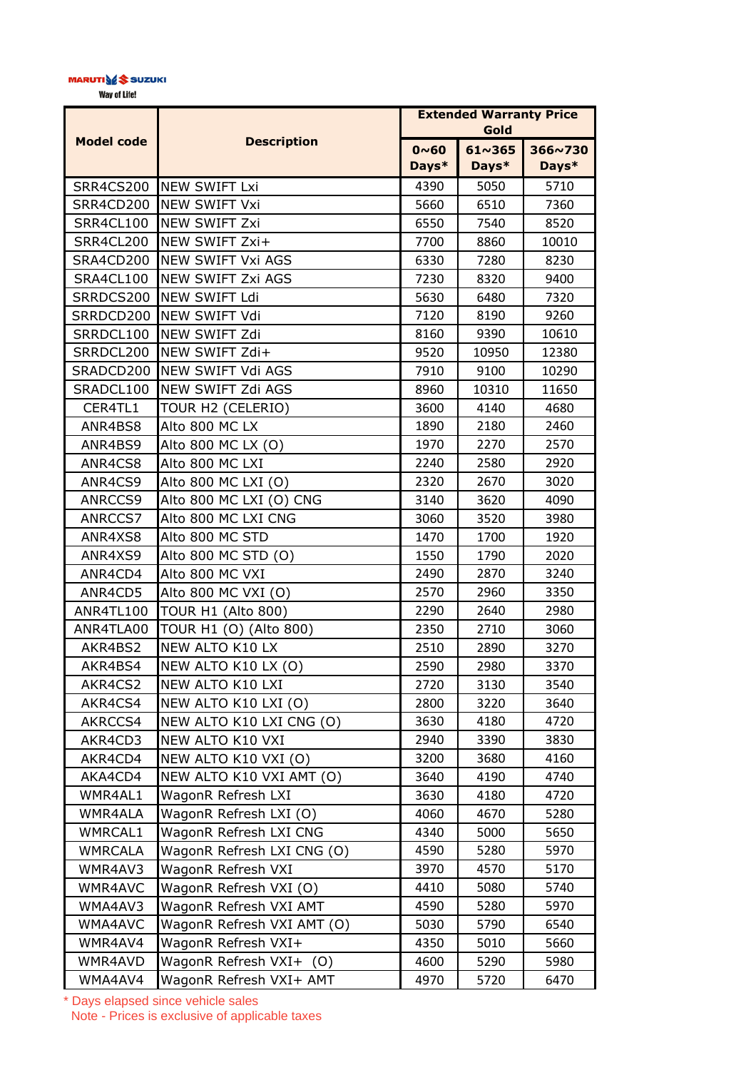## MARUTIVE<sup>S</sup> SUZUKI

Way of Life!

| <b>Model code</b> | <b>Description</b>         | <b>Extended Warranty Price</b><br>Gold |                 |         |
|-------------------|----------------------------|----------------------------------------|-----------------|---------|
|                   |                            | $0~0$ ~ 60                             | $61 \times 365$ | 366~730 |
|                   |                            | Days*                                  | Days*           | Days*   |
| <b>SRR4CS200</b>  | <b>NEW SWIFT Lxi</b>       | 4390                                   | 5050            | 5710    |
| SRR4CD200         | NEW SWIFT Vxi              | 5660                                   | 6510            | 7360    |
| SRR4CL100         | <b>NEW SWIFT Zxi</b>       | 6550                                   | 7540            | 8520    |
| SRR4CL200         | NEW SWIFT Zxi+             | 7700                                   | 8860            | 10010   |
| SRA4CD200         | <b>NEW SWIFT Vxi AGS</b>   | 6330                                   | 7280            | 8230    |
| SRA4CL100         | <b>NEW SWIFT Zxi AGS</b>   | 7230                                   | 8320            | 9400    |
| SRRDCS200         | NEW SWIFT Ldi              | 5630                                   | 6480            | 7320    |
| SRRDCD200         | NEW SWIFT Vdi              | 7120                                   | 8190            | 9260    |
| SRRDCL100         | NEW SWIFT Zdi              | 8160                                   | 9390            | 10610   |
| SRRDCL200         | NEW SWIFT Zdi+             | 9520                                   | 10950           | 12380   |
| SRADCD200         | <b>NEW SWIFT Vdi AGS</b>   | 7910                                   | 9100            | 10290   |
| SRADCL100         | NEW SWIFT Zdi AGS          | 8960                                   | 10310           | 11650   |
| CER4TL1           | TOUR H2 (CELERIO)          | 3600                                   | 4140            | 4680    |
| ANR4BS8           | Alto 800 MC LX             | 1890                                   | 2180            | 2460    |
| ANR4BS9           | Alto 800 MC LX (O)         | 1970                                   | 2270            | 2570    |
| ANR4CS8           | Alto 800 MC LXI            | 2240                                   | 2580            | 2920    |
| ANR4CS9           | Alto 800 MC LXI (O)        | 2320                                   | 2670            | 3020    |
| ANRCCS9           | Alto 800 MC LXI (O) CNG    | 3140                                   | 3620            | 4090    |
| ANRCCS7           | Alto 800 MC LXI CNG        | 3060                                   | 3520            | 3980    |
| ANR4XS8           | Alto 800 MC STD            | 1470                                   | 1700            | 1920    |
| ANR4XS9           | Alto 800 MC STD (O)        | 1550                                   | 1790            | 2020    |
| ANR4CD4           | Alto 800 MC VXI            | 2490                                   | 2870            | 3240    |
| ANR4CD5           | Alto 800 MC VXI (O)        | 2570                                   | 2960            | 3350    |
| ANR4TL100         | <b>TOUR H1 (Alto 800)</b>  | 2290                                   | 2640            | 2980    |
| ANR4TLA00         | TOUR H1 (O) (Alto 800)     | 2350                                   | 2710            | 3060    |
| AKR4BS2           | NEW ALTO K10 LX            | 2510                                   | 2890            | 3270    |
| AKR4BS4           | NEW ALTO K10 LX (O)        | 2590                                   | 2980            | 3370    |
| AKR4CS2           | NEW ALTO K10 LXI           | 2720                                   | 3130            | 3540    |
| AKR4CS4           | NEW ALTO K10 LXI (O)       | 2800                                   | 3220            | 3640    |
| AKRCCS4           | NEW ALTO K10 LXI CNG (O)   | 3630                                   | 4180            | 4720    |
| AKR4CD3           | NEW ALTO K10 VXI           | 2940                                   | 3390            | 3830    |
| AKR4CD4           | NEW ALTO K10 VXI (O)       | 3200                                   | 3680            | 4160    |
| AKA4CD4           | NEW ALTO K10 VXI AMT (O)   | 3640                                   | 4190            | 4740    |
| WMR4AL1           | WagonR Refresh LXI         | 3630                                   | 4180            | 4720    |
| WMR4ALA           | WagonR Refresh LXI (O)     | 4060                                   | 4670            | 5280    |
| WMRCAL1           | WagonR Refresh LXI CNG     | 4340                                   | 5000            | 5650    |
| <b>WMRCALA</b>    | WagonR Refresh LXI CNG (O) | 4590                                   | 5280            | 5970    |
| WMR4AV3           | WagonR Refresh VXI         | 3970                                   | 4570            | 5170    |
| WMR4AVC           | WagonR Refresh VXI (O)     | 4410                                   | 5080            | 5740    |
| WMA4AV3           | WagonR Refresh VXI AMT     | 4590                                   | 5280            | 5970    |
| WMA4AVC           | WagonR Refresh VXI AMT (O) | 5030                                   | 5790            | 6540    |
| WMR4AV4           | WagonR Refresh VXI+        | 4350                                   | 5010            | 5660    |
| WMR4AVD           | WagonR Refresh VXI+ (O)    | 4600                                   | 5290            | 5980    |
| WMA4AV4           | WagonR Refresh VXI+ AMT    | 4970                                   | 5720            | 6470    |

\* Days elapsed since vehicle sales Note - Prices is exclusive of applicable taxes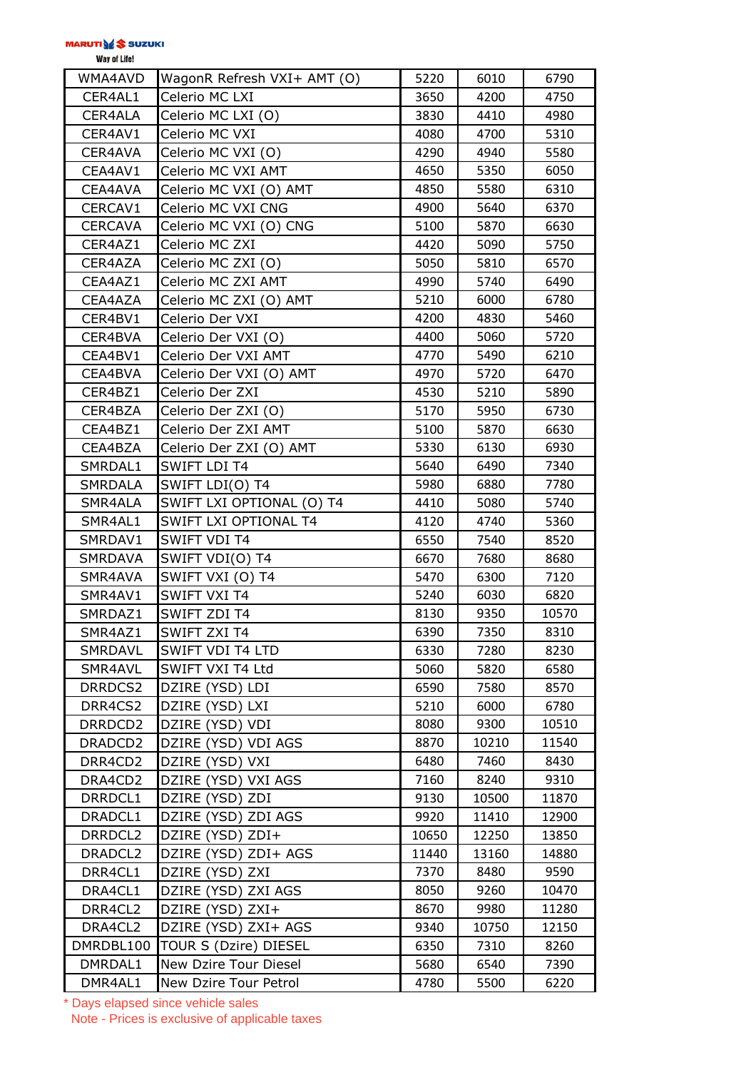Way of Life!

| WMA4AVD             | WagonR Refresh VXI+ AMT (O) | 5220  | 6010  | 6790  |
|---------------------|-----------------------------|-------|-------|-------|
| CER4AL1             | Celerio MC LXI              | 3650  | 4200  | 4750  |
| CER4ALA             | Celerio MC LXI (O)          | 3830  | 4410  | 4980  |
| CER4AV1             | Celerio MC VXI              | 4080  | 4700  | 5310  |
| CER4AVA             | Celerio MC VXI (O)          | 4290  | 4940  | 5580  |
| CEA4AV1             | Celerio MC VXI AMT          | 4650  | 5350  | 6050  |
| CEA4AVA             | Celerio MC VXI (O) AMT      | 4850  | 5580  | 6310  |
| CERCAV1             | Celerio MC VXI CNG          | 4900  | 5640  | 6370  |
| <b>CERCAVA</b>      | Celerio MC VXI (O) CNG      | 5100  | 5870  | 6630  |
| CER4AZ1             | Celerio MC ZXI              | 4420  | 5090  | 5750  |
| CER4AZA             | Celerio MC ZXI (O)          | 5050  | 5810  | 6570  |
| CEA4AZ1             | Celerio MC ZXI AMT          | 4990  | 5740  | 6490  |
| CEA4AZA             | Celerio MC ZXI (O) AMT      | 5210  | 6000  | 6780  |
| CER4BV1             | Celerio Der VXI             | 4200  | 4830  | 5460  |
| CER4BVA             | Celerio Der VXI (O)         | 4400  | 5060  | 5720  |
| CEA4BV1             | Celerio Der VXI AMT         | 4770  | 5490  | 6210  |
| CEA4BVA             | Celerio Der VXI (O) AMT     | 4970  | 5720  | 6470  |
| CER4BZ1             | Celerio Der ZXI             | 4530  | 5210  | 5890  |
| CER4BZA             | Celerio Der ZXI (O)         | 5170  | 5950  | 6730  |
| CEA4BZ1             | Celerio Der ZXI AMT         | 5100  | 5870  | 6630  |
| CEA4BZA             | Celerio Der ZXI (O) AMT     | 5330  | 6130  | 6930  |
| SMRDAL1             | SWIFT LDI T4                | 5640  | 6490  | 7340  |
| SMRDALA             | SWIFT LDI(O) T4             | 5980  | 6880  | 7780  |
| SMR4ALA             | SWIFT LXI OPTIONAL (O) T4   | 4410  | 5080  | 5740  |
| SMR4AL1             | SWIFT LXI OPTIONAL T4       | 4120  | 4740  | 5360  |
| SMRDAV1             | <b>SWIFT VDI T4</b>         | 6550  | 7540  | 8520  |
| <b>SMRDAVA</b>      | SWIFT VDI(O) T4             | 6670  | 7680  | 8680  |
| SMR4AVA             | SWIFT VXI (O) T4            | 5470  | 6300  | 7120  |
| SMR4AV1             | <b>SWIFT VXI T4</b>         | 5240  | 6030  | 6820  |
| SMRDAZ1             | SWIFT ZDI T4                | 8130  | 9350  | 10570 |
| SMR4AZ1             | SWIFT ZXI T4                | 6390  | 7350  | 8310  |
| SMRDAVL             | SWIFT VDI T4 LTD            | 6330  | 7280  | 8230  |
| SMR4AVL             | SWIFT VXI T4 Ltd            | 5060  | 5820  | 6580  |
| DRRDCS2             | DZIRE (YSD) LDI             | 6590  | 7580  | 8570  |
| DRR4CS2             | DZIRE (YSD) LXI             | 5210  | 6000  | 6780  |
| DRRDCD2             | DZIRE (YSD) VDI             | 8080  | 9300  | 10510 |
| DRADCD2             | DZIRE (YSD) VDI AGS         | 8870  | 10210 | 11540 |
| DRR4CD2             | DZIRE (YSD) VXI             | 6480  | 7460  | 8430  |
| DRA4CD2             | DZIRE (YSD) VXI AGS         | 7160  | 8240  | 9310  |
| DRRDCL1             | DZIRE (YSD) ZDI             | 9130  | 10500 | 11870 |
| DRADCL1             | DZIRE (YSD) ZDI AGS         | 9920  | 11410 | 12900 |
| DRRDCL <sub>2</sub> | DZIRE (YSD) ZDI+            | 10650 | 12250 | 13850 |
| DRADCL2             | DZIRE (YSD) ZDI+ AGS        | 11440 | 13160 | 14880 |
| DRR4CL1             | DZIRE (YSD) ZXI             | 7370  | 8480  | 9590  |
| DRA4CL1             | DZIRE (YSD) ZXI AGS         | 8050  | 9260  | 10470 |
| DRR4CL2             | DZIRE (YSD) ZXI+            | 8670  | 9980  | 11280 |
| DRA4CL2             | DZIRE (YSD) ZXI+ AGS        | 9340  | 10750 | 12150 |
| DMRDBL100           | TOUR S (Dzire) DIESEL       | 6350  | 7310  | 8260  |
| DMRDAL1             | New Dzire Tour Diesel       | 5680  | 6540  | 7390  |
| DMR4AL1             | New Dzire Tour Petrol       | 4780  | 5500  | 6220  |
|                     |                             |       |       |       |

\* Days elapsed since vehicle sales Note - Prices is exclusive of applicable taxes